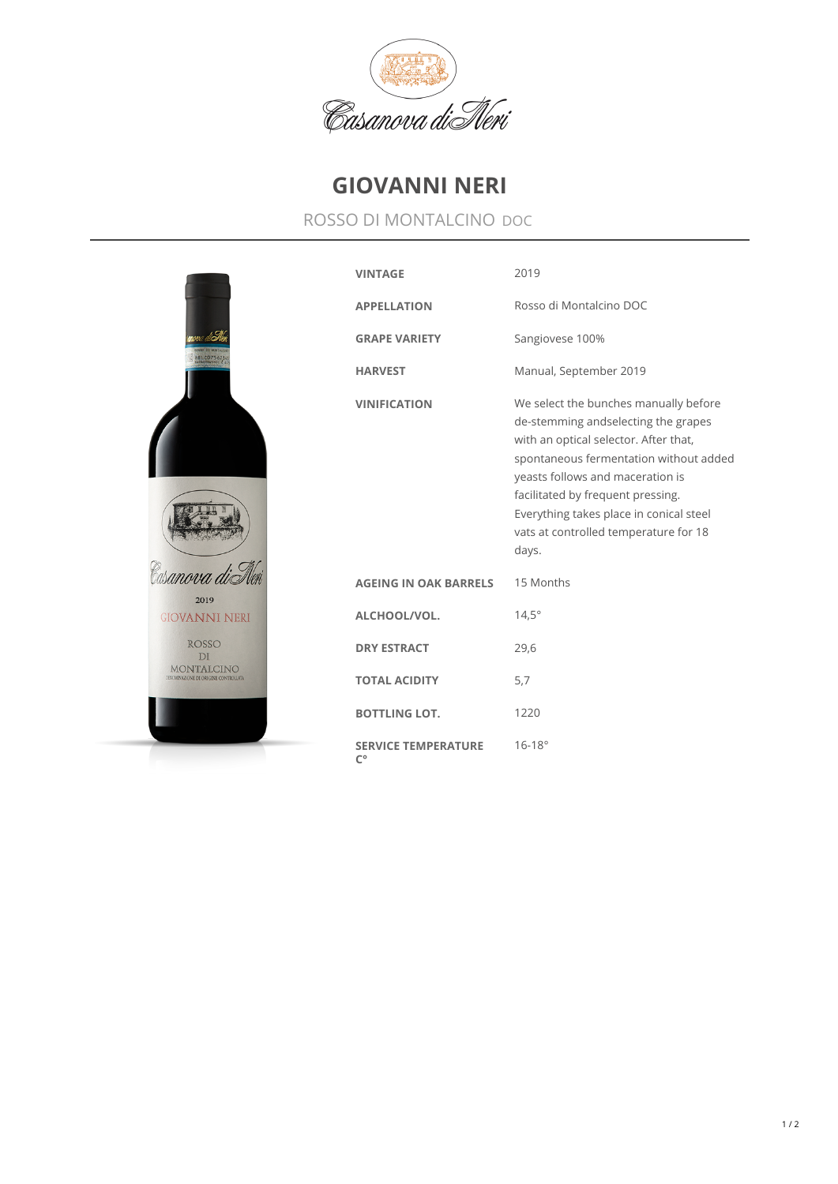

## **GIOVANNI NERI**

## ROSSO DI MONTALCINO DOC

|                                                    | <b>VINTAGE</b>                            | 2019                                                                                                                                                                                                                                                                                                                                  |
|----------------------------------------------------|-------------------------------------------|---------------------------------------------------------------------------------------------------------------------------------------------------------------------------------------------------------------------------------------------------------------------------------------------------------------------------------------|
|                                                    | <b>APPELLATION</b>                        | Rosso di Montalcino DOC                                                                                                                                                                                                                                                                                                               |
|                                                    | <b>GRAPE VARIETY</b>                      | Sangiovese 100%                                                                                                                                                                                                                                                                                                                       |
|                                                    | <b>HARVEST</b>                            | Manual, September 2019                                                                                                                                                                                                                                                                                                                |
|                                                    | <b>VINIFICATION</b>                       | We select the bunches manually before<br>de-stemming andselecting the grapes<br>with an optical selector. After that,<br>spontaneous fermentation without added<br>yeasts follows and maceration is<br>facilitated by frequent pressing.<br>Everything takes place in conical steel<br>vats at controlled temperature for 18<br>days. |
|                                                    | <b>AGEING IN OAK BARRELS</b>              | 15 Months                                                                                                                                                                                                                                                                                                                             |
| 2019<br><b>GIOVANNI NERI</b>                       | ALCHOOL/VOL.                              | $14,5^\circ$                                                                                                                                                                                                                                                                                                                          |
| <b>ROSSO</b><br>DI                                 | <b>DRY ESTRACT</b>                        | 29,6                                                                                                                                                                                                                                                                                                                                  |
| MONTALCINO<br>DENOMINAZIONE DI ORIGINE CONTROLLATA | <b>TOTAL ACIDITY</b>                      | 5,7                                                                                                                                                                                                                                                                                                                                   |
|                                                    | <b>BOTTLING LOT.</b>                      | 1220                                                                                                                                                                                                                                                                                                                                  |
|                                                    | <b>SERVICE TEMPERATURE</b><br>$C^{\circ}$ | $16 - 18^{\circ}$                                                                                                                                                                                                                                                                                                                     |